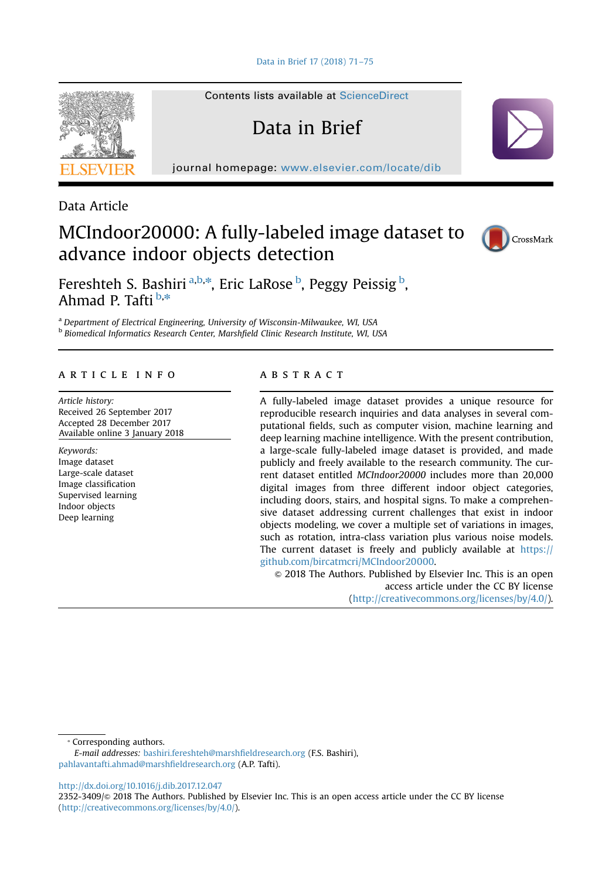[Data in Brief 17 \(2018\) 71](dx.doi.org/10.1016/j.dib.2017.12.047)–75

Contents lists available at [ScienceDirect](www.sciencedirect.com/science/journal/23523409)

Data in Brief

journal homepage: <www.elsevier.com/locate/dib>



Data Article

# MCIndoor20000: A fully-labeled image dataset to advance indoor objects detection



Fereshteh S. Bashiri <sup>a,b,\*</sup>, Eric LaRose <sup>b</sup>, Peggy Peissig <sup>b</sup>, Ahmad P. Tafti **b**,\*

<sup>a</sup> Department of Electrical Engineering, University of Wisconsin-Milwaukee, WI, USA **b** Biomedical Informatics Research Center, Marshfield Clinic Research Institute, WI, USA

# article info

Article history: Received 26 September 2017 Accepted 28 December 2017 Available online 3 January 2018

Keywords: Image dataset Large-scale dataset Image classification Supervised learning Indoor objects Deep learning

#### **ABSTRACT**

A fully-labeled image dataset provides a unique resource for reproducible research inquiries and data analyses in several computational fields, such as computer vision, machine learning and deep learning machine intelligence. With the present contribution, a large-scale fully-labeled image dataset is provided, and made publicly and freely available to the research community. The current dataset entitled MCIndoor20000 includes more than 20,000 digital images from three different indoor object categories, including doors, stairs, and hospital signs. To make a comprehensive dataset addressing current challenges that exist in indoor objects modeling, we cover a multiple set of variations in images, such as rotation, intra-class variation plus various noise models. The current dataset is freely and publicly available at [https://](https://github.com/bircatmcri/MCIndoor20000) [github.com/bircatmcri/MCIndoor20000.](https://github.com/bircatmcri/MCIndoor20000)

 $\odot$  2018 The Authors. Published by Elsevier Inc. This is an open access article under the CC BY license (http://creativecommons.org/licenses/by/4.0/).

⁎ Corresponding authors.

E-mail addresses: [bashiri.fereshteh@marsh](mailto:bashiri.fereshteh@marshfieldresearch.org)fieldresearch.org (F.S. Bashiri), [pahlavantafti.ahmad@marsh](mailto:pahlavantafti.ahmad@marshfieldresearch.org)fieldresearch.org (A.P. Tafti).

[http://dx.doi.org/10.1016/j.dib.2017.12.047](dx.doi.org/10.1016/j.dib.2017.12.047)

2352-3409/& 2018 The Authors. Published by Elsevier Inc. This is an open access article under the CC BY license (http://creativecommons.org/licenses/by/4.0/).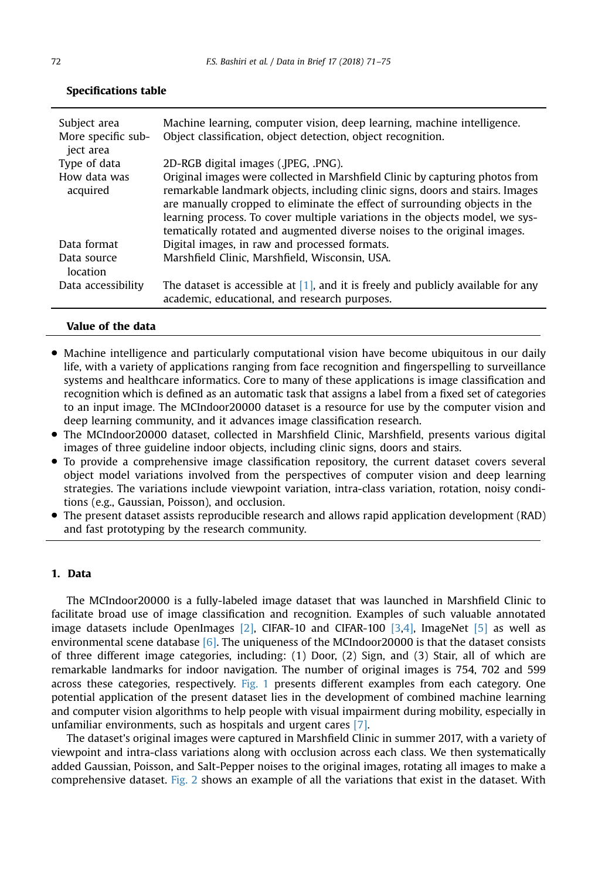| Subject area<br>More specific sub-<br>ject area | Machine learning, computer vision, deep learning, machine intelligence.<br>Object classification, object detection, object recognition.                                                                                                                                                                                                                                                                 |
|-------------------------------------------------|---------------------------------------------------------------------------------------------------------------------------------------------------------------------------------------------------------------------------------------------------------------------------------------------------------------------------------------------------------------------------------------------------------|
| Type of data                                    | 2D-RGB digital images (.JPEG, .PNG).                                                                                                                                                                                                                                                                                                                                                                    |
| How data was<br>acquired                        | Original images were collected in Marshfield Clinic by capturing photos from<br>remarkable landmark objects, including clinic signs, doors and stairs. Images<br>are manually cropped to eliminate the effect of surrounding objects in the<br>learning process. To cover multiple variations in the objects model, we sys-<br>tematically rotated and augmented diverse noises to the original images. |
| Data format                                     | Digital images, in raw and processed formats.                                                                                                                                                                                                                                                                                                                                                           |
| Data source<br>location                         | Marshfield Clinic, Marshfield, Wisconsin, USA.                                                                                                                                                                                                                                                                                                                                                          |
| Data accessibility                              | The dataset is accessible at $[1]$ , and it is freely and publicly available for any<br>academic, educational, and research purposes.                                                                                                                                                                                                                                                                   |

## Specifications table

#### Value of the data

- Machine intelligence and particularly computational vision have become ubiquitous in our daily life, with a variety of applications ranging from face recognition and fingerspelling to surveillance systems and healthcare informatics. Core to many of these applications is image classification and recognition which is defined as an automatic task that assigns a label from a fixed set of categories to an input image. The MCIndoor20000 dataset is a resource for use by the computer vision and deep learning community, and it advances image classification research.
- The MCIndoor20000 dataset, collected in Marshfield Clinic, Marshfield, presents various digital images of three guideline indoor objects, including clinic signs, doors and stairs.
- To provide a comprehensive image classification repository, the current dataset covers several object model variations involved from the perspectives of computer vision and deep learning strategies. The variations include viewpoint variation, intra-class variation, rotation, noisy conditions (e.g., Gaussian, Poisson), and occlusion.
- The present dataset assists reproducible research and allows rapid application development (RAD) and fast prototyping by the research community.

### 1. Data

The MCIndoor20000 is a fully-labeled image dataset that was launched in Marshfield Clinic to facilitate broad use of image classification and recognition. Examples of such valuable annotated image datasets include OpenImages [\[2\]](#page-4-0), CIFAR-10 and CIFAR-100 [\[3,4\],](#page-4-0) ImageNet [\[5\]](#page-4-0) as well as environmental scene database  $[6]$ . The uniqueness of the MCIndoor20000 is that the dataset consists of three different image categories, including: (1) Door, (2) Sign, and (3) Stair, all of which are remarkable landmarks for indoor navigation. The number of original images is 754, 702 and 599 across these categories, respectively. [Fig. 1](#page-2-0) presents different examples from each category. One potential application of the present dataset lies in the development of combined machine learning and computer vision algorithms to help people with visual impairment during mobility, especially in unfamiliar environments, such as hospitals and urgent cares [\[7\]](#page-4-0).

The dataset's original images were captured in Marshfield Clinic in summer 2017, with a variety of viewpoint and intra-class variations along with occlusion across each class. We then systematically added Gaussian, Poisson, and Salt-Pepper noises to the original images, rotating all images to make a comprehensive dataset. [Fig. 2](#page-3-0) shows an example of all the variations that exist in the dataset. With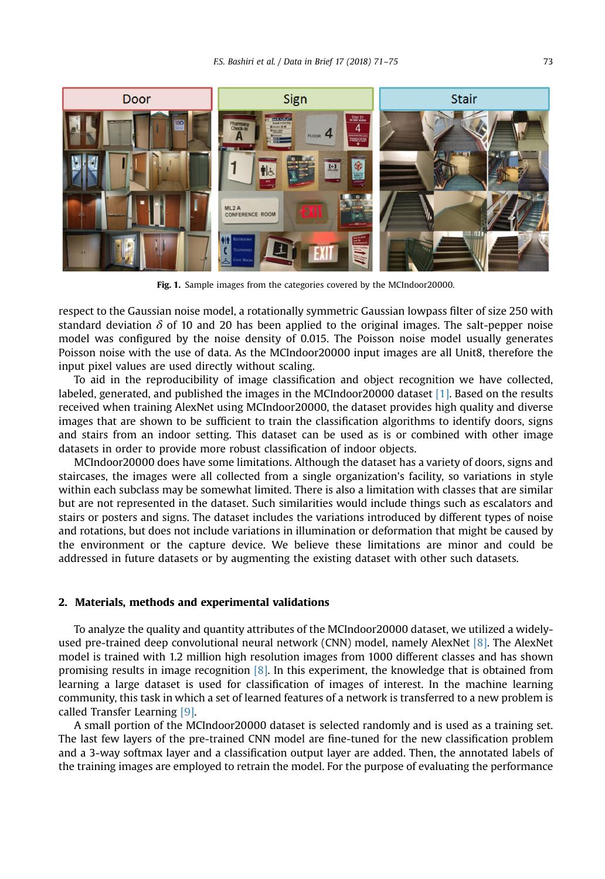<span id="page-2-0"></span>

Fig. 1. Sample images from the categories covered by the MCIndoor20000.

respect to the Gaussian noise model, a rotationally symmetric Gaussian lowpass filter of size 250 with standard deviation  $\delta$  of 10 and 20 has been applied to the original images. The salt-pepper noise model was configured by the noise density of 0.015. The Poisson noise model usually generates Poisson noise with the use of data. As the MCIndoor20000 input images are all Unit8, therefore the input pixel values are used directly without scaling.

To aid in the reproducibility of image classification and object recognition we have collected, labeled, generated, and published the images in the MCIndoor20000 dataset [\[1\].](#page-4-0) Based on the results received when training AlexNet using MCIndoor20000, the dataset provides high quality and diverse images that are shown to be sufficient to train the classification algorithms to identify doors, signs and stairs from an indoor setting. This dataset can be used as is or combined with other image datasets in order to provide more robust classification of indoor objects.

MCIndoor20000 does have some limitations. Although the dataset has a variety of doors, signs and staircases, the images were all collected from a single organization's facility, so variations in style within each subclass may be somewhat limited. There is also a limitation with classes that are similar but are not represented in the dataset. Such similarities would include things such as escalators and stairs or posters and signs. The dataset includes the variations introduced by different types of noise and rotations, but does not include variations in illumination or deformation that might be caused by the environment or the capture device. We believe these limitations are minor and could be addressed in future datasets or by augmenting the existing dataset with other such datasets.

#### 2. Materials, methods and experimental validations

To analyze the quality and quantity attributes of the MCIndoor20000 dataset, we utilized a widelyused pre-trained deep convolutional neural network (CNN) model, namely AlexNet [\[8\].](#page-4-0) The AlexNet model is trained with 1.2 million high resolution images from 1000 different classes and has shown promising results in image recognition [\[8\]](#page-4-0). In this experiment, the knowledge that is obtained from learning a large dataset is used for classification of images of interest. In the machine learning community, this task in which a set of learned features of a network is transferred to a new problem is called Transfer Learning [\[9\]](#page-4-0).

A small portion of the MCIndoor20000 dataset is selected randomly and is used as a training set. The last few layers of the pre-trained CNN model are fine-tuned for the new classification problem and a 3-way softmax layer and a classification output layer are added. Then, the annotated labels of the training images are employed to retrain the model. For the purpose of evaluating the performance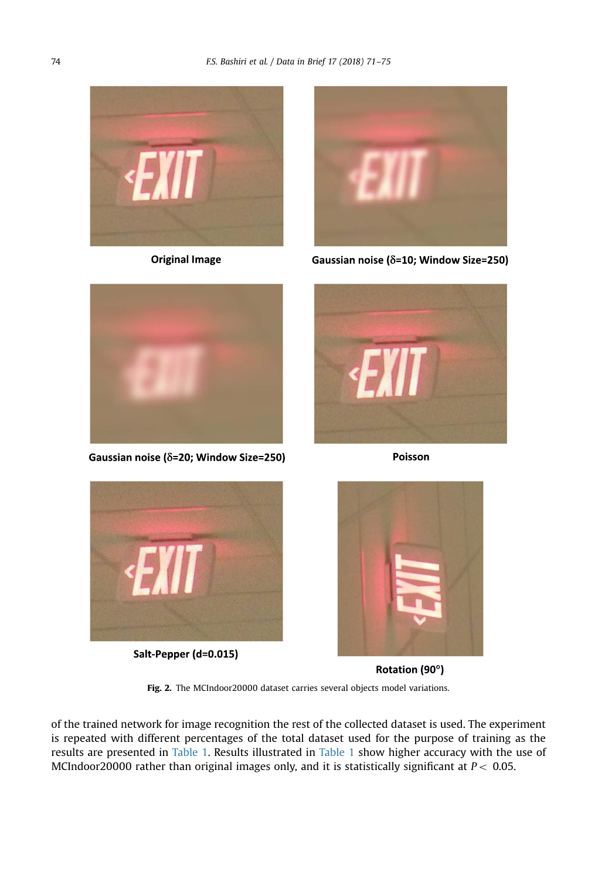<span id="page-3-0"></span>

**Original Image** 



Gaussian noise ( $\delta$ =10; Window Size=250)



Gaussian noise ( $\delta$ =20; Window Size=250)



Poisson



Salt-Pepper (d=0.015)



Rotation (90°)

Fig. 2. The MCIndoor20000 dataset carries several objects model variations.

of the trained network for image recognition the rest of the collected dataset is used. The experiment is repeated with different percentages of the total dataset used for the purpose of training as the results are presented in [Table 1.](#page-4-0) Results illustrated in [Table 1](#page-4-0) show higher accuracy with the use of MCIndoor20000 rather than original images only, and it is statistically significant at  $P < 0.05$ .